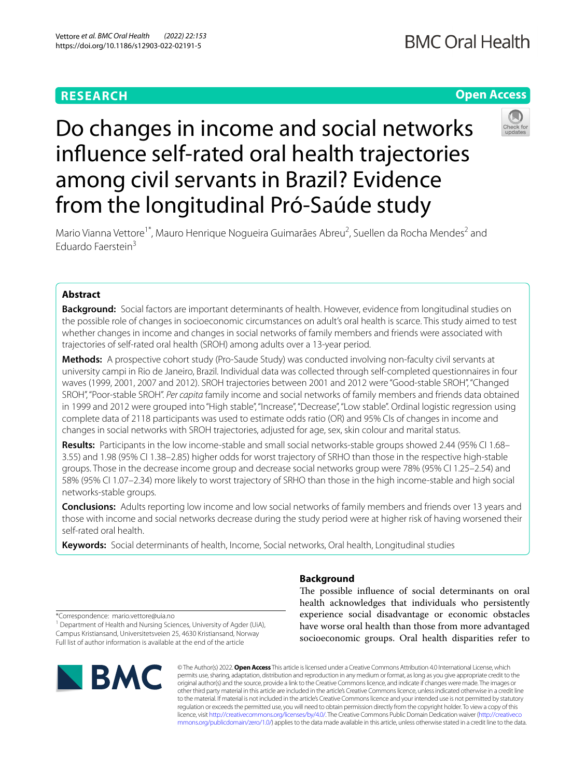# **RESEARCH**

# **Open Access**



# Do changes in income and social networks infuence self-rated oral health trajectories among civil servants in Brazil? Evidence from the longitudinal Pró-Saúde study

Mario Vianna Vettore<sup>1\*</sup>, Mauro Henrique Nogueira Guimarães Abreu<sup>2</sup>, Suellen da Rocha Mendes<sup>2</sup> and Eduardo Faerstein<sup>3</sup>

# **Abstract**

**Background:** Social factors are important determinants of health. However, evidence from longitudinal studies on the possible role of changes in socioeconomic circumstances on adult's oral health is scarce. This study aimed to test whether changes in income and changes in social networks of family members and friends were associated with trajectories of self-rated oral health (SROH) among adults over a 13-year period.

**Methods:** A prospective cohort study (Pro-Saude Study) was conducted involving non-faculty civil servants at university campi in Rio de Janeiro, Brazil. Individual data was collected through self-completed questionnaires in four waves (1999, 2001, 2007 and 2012). SROH trajectories between 2001 and 2012 were "Good-stable SROH", "Changed SROH", "Poor-stable SROH". *Per capita* family income and social networks of family members and friends data obtained in 1999 and 2012 were grouped into "High stable", "Increase", "Decrease", "Low stable". Ordinal logistic regression using complete data of 2118 participants was used to estimate odds ratio (OR) and 95% CIs of changes in income and changes in social networks with SROH trajectories, adjusted for age, sex, skin colour and marital status.

**Results:** Participants in the low income-stable and small social networks-stable groups showed 2.44 (95% CI 1.68– 3.55) and 1.98 (95% CI 1.38–2.85) higher odds for worst trajectory of SRHO than those in the respective high-stable groups. Those in the decrease income group and decrease social networks group were 78% (95% CI 1.25–2.54) and 58% (95% CI 1.07–2.34) more likely to worst trajectory of SRHO than those in the high income-stable and high social networks-stable groups.

**Conclusions:** Adults reporting low income and low social networks of family members and friends over 13 years and those with income and social networks decrease during the study period were at higher risk of having worsened their self-rated oral health.

**Keywords:** Social determinants of health, Income, Social networks, Oral health, Longitudinal studies

# **Background**

The possible influence of social determinants on oral health acknowledges that individuals who persistently experience social disadvantage or economic obstacles have worse oral health than those from more advantaged socioeconomic groups. Oral health disparities refer to

\*Correspondence: mario.vettore@uia.no

<sup>1</sup> Department of Health and Nursing Sciences, University of Agder (UiA), Campus Kristiansand, Universitetsveien 25, 4630 Kristiansand, Norway Full list of author information is available at the end of the article



© The Author(s) 2022. **Open Access** This article is licensed under a Creative Commons Attribution 4.0 International License, which permits use, sharing, adaptation, distribution and reproduction in any medium or format, as long as you give appropriate credit to the original author(s) and the source, provide a link to the Creative Commons licence, and indicate if changes were made. The images or other third party material in this article are included in the article's Creative Commons licence, unless indicated otherwise in a credit line to the material. If material is not included in the article's Creative Commons licence and your intended use is not permitted by statutory regulation or exceeds the permitted use, you will need to obtain permission directly from the copyright holder. To view a copy of this licence, visit [http://creativecommons.org/licenses/by/4.0/.](http://creativecommons.org/licenses/by/4.0/) The Creative Commons Public Domain Dedication waiver ([http://creativeco](http://creativecommons.org/publicdomain/zero/1.0/) [mmons.org/publicdomain/zero/1.0/](http://creativecommons.org/publicdomain/zero/1.0/)) applies to the data made available in this article, unless otherwise stated in a credit line to the data.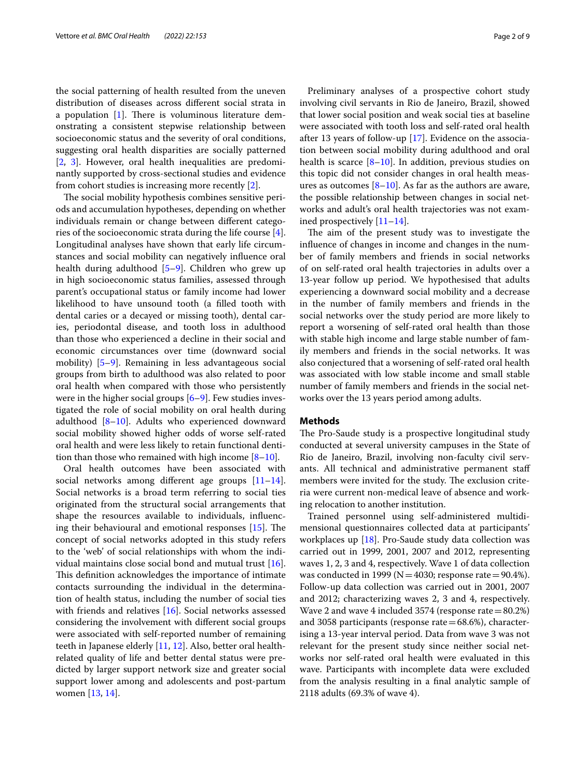the social patterning of health resulted from the uneven distribution of diseases across diferent social strata in a population  $[1]$  $[1]$ . There is voluminous literature demonstrating a consistent stepwise relationship between socioeconomic status and the severity of oral conditions, suggesting oral health disparities are socially patterned [[2,](#page-7-1) [3\]](#page-7-2). However, oral health inequalities are predominantly supported by cross-sectional studies and evidence from cohort studies is increasing more recently [\[2](#page-7-1)].

The social mobility hypothesis combines sensitive periods and accumulation hypotheses, depending on whether individuals remain or change between diferent categories of the socioeconomic strata during the life course [\[4](#page-7-3)]. Longitudinal analyses have shown that early life circumstances and social mobility can negatively infuence oral health during adulthood [[5–](#page-7-4)[9](#page-8-0)]. Children who grew up in high socioeconomic status families, assessed through parent's occupational status or family income had lower likelihood to have unsound tooth (a flled tooth with dental caries or a decayed or missing tooth), dental caries, periodontal disease, and tooth loss in adulthood than those who experienced a decline in their social and economic circumstances over time (downward social mobility) [[5](#page-7-4)[–9](#page-8-0)]. Remaining in less advantageous social groups from birth to adulthood was also related to poor oral health when compared with those who persistently were in the higher social groups  $[6-9]$  $[6-9]$  $[6-9]$ . Few studies investigated the role of social mobility on oral health during adulthood  $[8-10]$  $[8-10]$ . Adults who experienced downward social mobility showed higher odds of worse self-rated oral health and were less likely to retain functional dentition than those who remained with high income  $[8-10]$  $[8-10]$ .

Oral health outcomes have been associated with social networks among different age groups  $[11-14]$  $[11-14]$  $[11-14]$ . Social networks is a broad term referring to social ties originated from the structural social arrangements that shape the resources available to individuals, infuencing their behavioural and emotional responses  $[15]$  $[15]$  $[15]$ . The concept of social networks adopted in this study refers to the 'web' of social relationships with whom the individual maintains close social bond and mutual trust [\[16](#page-8-6)]. This definition acknowledges the importance of intimate contacts surrounding the individual in the determination of health status, including the number of social ties with friends and relatives [[16\]](#page-8-6). Social networks assessed considering the involvement with diferent social groups were associated with self-reported number of remaining teeth in Japanese elderly [\[11,](#page-8-3) [12](#page-8-7)]. Also, better oral healthrelated quality of life and better dental status were predicted by larger support network size and greater social support lower among and adolescents and post-partum women [\[13](#page-8-8), [14\]](#page-8-4).

Preliminary analyses of a prospective cohort study involving civil servants in Rio de Janeiro, Brazil, showed that lower social position and weak social ties at baseline were associated with tooth loss and self-rated oral health after 13 years of follow-up [\[17](#page-8-9)]. Evidence on the association between social mobility during adulthood and oral health is scarce  $[8-10]$  $[8-10]$  $[8-10]$ . In addition, previous studies on this topic did not consider changes in oral health measures as outcomes  $[8-10]$  $[8-10]$  $[8-10]$ . As far as the authors are aware, the possible relationship between changes in social networks and adult's oral health trajectories was not examined prospectively [[11–](#page-8-3)[14](#page-8-4)].

The aim of the present study was to investigate the infuence of changes in income and changes in the number of family members and friends in social networks of on self-rated oral health trajectories in adults over a 13-year follow up period. We hypothesised that adults experiencing a downward social mobility and a decrease in the number of family members and friends in the social networks over the study period are more likely to report a worsening of self-rated oral health than those with stable high income and large stable number of family members and friends in the social networks. It was also conjectured that a worsening of self-rated oral health was associated with low stable income and small stable number of family members and friends in the social networks over the 13 years period among adults.

# **Methods**

The Pro-Saude study is a prospective longitudinal study conducted at several university campuses in the State of Rio de Janeiro, Brazil, involving non-faculty civil servants. All technical and administrative permanent staf members were invited for the study. The exclusion criteria were current non-medical leave of absence and working relocation to another institution.

Trained personnel using self-administered multidimensional questionnaires collected data at participants' workplaces up [\[18](#page-8-10)]. Pro-Saude study data collection was carried out in 1999, 2001, 2007 and 2012, representing waves 1, 2, 3 and 4, respectively. Wave 1 of data collection was conducted in 1999 ( $N=4030$ ; response rate  $=90.4\%$ ). Follow-up data collection was carried out in 2001, 2007 and 2012; characterizing waves 2, 3 and 4, respectively. Wave 2 and wave 4 included 3574 (response rate=80.2%) and 3058 participants (response rate=68.6%), characterising a 13-year interval period. Data from wave 3 was not relevant for the present study since neither social networks nor self-rated oral health were evaluated in this wave. Participants with incomplete data were excluded from the analysis resulting in a fnal analytic sample of 2118 adults (69.3% of wave 4).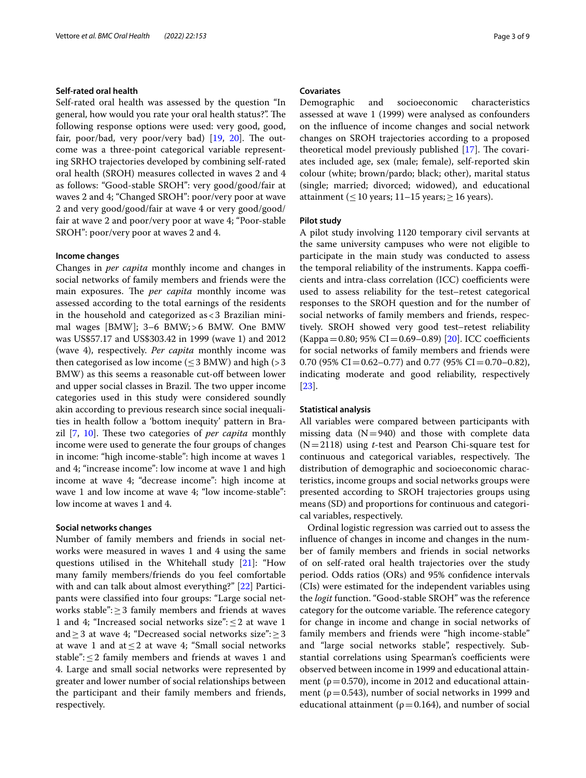# **Self‑rated oral health**

Self-rated oral health was assessed by the question "In general, how would you rate your oral health status?". The following response options were used: very good, good, fair, poor/bad, very poor/very bad)  $[19, 20]$  $[19, 20]$  $[19, 20]$  $[19, 20]$ . The outcome was a three-point categorical variable representing SRHO trajectories developed by combining self-rated oral health (SROH) measures collected in waves 2 and 4 as follows: "Good-stable SROH": very good/good/fair at waves 2 and 4; "Changed SROH": poor/very poor at wave 2 and very good/good/fair at wave 4 or very good/good/ fair at wave 2 and poor/very poor at wave 4; "Poor-stable SROH": poor/very poor at waves 2 and 4.

# **Income changes**

Changes in *per capita* monthly income and changes in social networks of family members and friends were the main exposures. The *per capita* monthly income was assessed according to the total earnings of the residents in the household and categorized as<3 Brazilian minimal wages [BMW]; 3–6 BMW;>6 BMW. One BMW was US\$57.17 and US\$303.42 in 1999 (wave 1) and 2012 (wave 4), respectively. *Per capita* monthly income was then categorised as low income  $(< 3$  BMW) and high  $(> 3$ BMW) as this seems a reasonable cut-off between lower and upper social classes in Brazil. The two upper income categories used in this study were considered soundly akin according to previous research since social inequalities in health follow a 'bottom inequity' pattern in Bra-zil [[7,](#page-7-6) [10\]](#page-8-2). These two categories of *per capita* monthly income were used to generate the four groups of changes in income: "high income-stable": high income at waves 1 and 4; "increase income": low income at wave 1 and high income at wave 4; "decrease income": high income at wave 1 and low income at wave 4; "low income-stable": low income at waves 1 and 4.

#### **Social networks changes**

Number of family members and friends in social networks were measured in waves 1 and 4 using the same questions utilised in the Whitehall study [\[21](#page-8-13)]: "How many family members/friends do you feel comfortable with and can talk about almost everything?" [\[22](#page-8-14)] Participants were classifed into four groups: "Large social networks stable":≥3 family members and friends at waves 1 and 4; "Increased social networks size":  $\leq$  2 at wave 1 and≥3 at wave 4; "Decreased social networks size":≥3 at wave 1 and at  $\leq$  2 at wave 4; "Small social networks stable": $\leq$ 2 family members and friends at waves 1 and 4. Large and small social networks were represented by greater and lower number of social relationships between the participant and their family members and friends, respectively.

# **Covariates**

Demographic and socioeconomic characteristics assessed at wave 1 (1999) were analysed as confounders on the infuence of income changes and social network changes on SROH trajectories according to a proposed theoretical model previously published  $[17]$  $[17]$ . The covariates included age, sex (male; female), self-reported skin colour (white; brown/pardo; black; other), marital status (single; married; divorced; widowed), and educational attainment ( $\leq 10$  years; 11–15 years;  $> 16$  years).

# **Pilot study**

A pilot study involving 1120 temporary civil servants at the same university campuses who were not eligible to participate in the main study was conducted to assess the temporal reliability of the instruments. Kappa coefficients and intra-class correlation (ICC) coefficients were used to assess reliability for the test–retest categorical responses to the SROH question and for the number of social networks of family members and friends, respectively. SROH showed very good test–retest reliability  $(Kappa=0.80; 95\% CI = 0.69 - 0.89)$  [[20\]](#page-8-12). ICC coefficients for social networks of family members and friends were 0.70 (95% CI =  $0.62 - 0.77$ ) and 0.77 (95% CI = 0.70–0.82), indicating moderate and good reliability, respectively [[23\]](#page-8-15).

# **Statistical analysis**

All variables were compared between participants with missing data  $(N=940)$  and those with complete data (N=2118) using *t*-test and Pearson Chi-square test for continuous and categorical variables, respectively. The distribution of demographic and socioeconomic characteristics, income groups and social networks groups were presented according to SROH trajectories groups using means (SD) and proportions for continuous and categorical variables, respectively.

Ordinal logistic regression was carried out to assess the infuence of changes in income and changes in the number of family members and friends in social networks of on self-rated oral health trajectories over the study period. Odds ratios (ORs) and 95% confdence intervals (CIs) were estimated for the independent variables using the *logit* function. "Good-stable SROH" was the reference category for the outcome variable. The reference category for change in income and change in social networks of family members and friends were "high income-stable" and "large social networks stable", respectively. Substantial correlations using Spearman's coefficients were observed between income in 1999 and educational attainment ( $\rho$  = 0.570), income in 2012 and educational attainment ( $\rho$  = 0.543), number of social networks in 1999 and educational attainment ( $\rho$  = 0.164), and number of social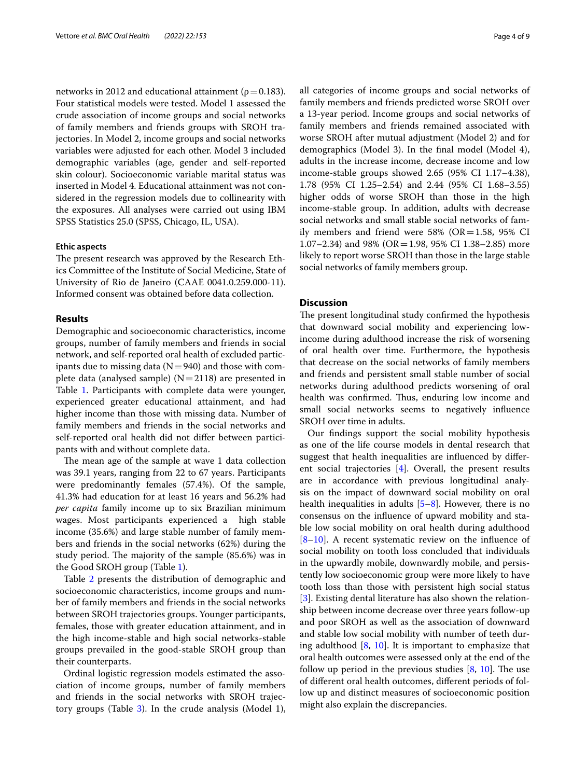networks in 2012 and educational attainment ( $\rho$  = 0.183). Four statistical models were tested. Model 1 assessed the crude association of income groups and social networks of family members and friends groups with SROH trajectories. In Model 2, income groups and social networks variables were adjusted for each other. Model 3 included demographic variables (age, gender and self-reported skin colour). Socioeconomic variable marital status was inserted in Model 4. Educational attainment was not considered in the regression models due to collinearity with the exposures. All analyses were carried out using IBM SPSS Statistics 25.0 (SPSS, Chicago, IL, USA).

# **Ethic aspects**

The present research was approved by the Research Ethics Committee of the Institute of Social Medicine, State of University of Rio de Janeiro (CAAE 0041.0.259.000-11). Informed consent was obtained before data collection.

# **Results**

Demographic and socioeconomic characteristics, income groups, number of family members and friends in social network, and self-reported oral health of excluded participants due to missing data ( $N=940$ ) and those with complete data (analysed sample)  $(N=2118)$  are presented in Table [1.](#page-4-0) Participants with complete data were younger, experienced greater educational attainment, and had higher income than those with missing data. Number of family members and friends in the social networks and self-reported oral health did not difer between participants with and without complete data.

The mean age of the sample at wave 1 data collection was 39.1 years, ranging from 22 to 67 years. Participants were predominantly females (57.4%). Of the sample, 41.3% had education for at least 16 years and 56.2% had *per capita* family income up to six Brazilian minimum wages. Most participants experienced a high stable income (35.6%) and large stable number of family members and friends in the social networks (62%) during the study period. The majority of the sample (85.6%) was in the Good SROH group (Table [1\)](#page-4-0).

Table [2](#page-5-0) presents the distribution of demographic and socioeconomic characteristics, income groups and number of family members and friends in the social networks between SROH trajectories groups. Younger participants, females, those with greater education attainment, and in the high income-stable and high social networks-stable groups prevailed in the good-stable SROH group than their counterparts.

Ordinal logistic regression models estimated the association of income groups, number of family members and friends in the social networks with SROH trajectory groups (Table  $3$ ). In the crude analysis (Model 1), all categories of income groups and social networks of family members and friends predicted worse SROH over a 13-year period. Income groups and social networks of family members and friends remained associated with worse SROH after mutual adjustment (Model 2) and for demographics (Model 3). In the fnal model (Model 4), adults in the increase income, decrease income and low income-stable groups showed 2.65 (95% CI 1.17–4.38), 1.78 (95% CI 1.25–2.54) and 2.44 (95% CI 1.68–3.55) higher odds of worse SROH than those in the high income-stable group. In addition, adults with decrease social networks and small stable social networks of family members and friend were  $58\%$  (OR=1.58, 95% CI 1.07–2.34) and 98% (OR=1.98, 95% CI 1.38–2.85) more likely to report worse SROH than those in the large stable social networks of family members group.

# **Discussion**

The present longitudinal study confirmed the hypothesis that downward social mobility and experiencing lowincome during adulthood increase the risk of worsening of oral health over time. Furthermore, the hypothesis that decrease on the social networks of family members and friends and persistent small stable number of social networks during adulthood predicts worsening of oral health was confirmed. Thus, enduring low income and small social networks seems to negatively infuence SROH over time in adults.

Our fndings support the social mobility hypothesis as one of the life course models in dental research that suggest that health inequalities are infuenced by diferent social trajectories [\[4](#page-7-3)]. Overall, the present results are in accordance with previous longitudinal analysis on the impact of downward social mobility on oral health inequalities in adults [\[5–](#page-7-4)[8\]](#page-8-1). However, there is no consensus on the infuence of upward mobility and stable low social mobility on oral health during adulthood [[8–](#page-8-1)[10\]](#page-8-2). A recent systematic review on the infuence of social mobility on tooth loss concluded that individuals in the upwardly mobile, downwardly mobile, and persistently low socioeconomic group were more likely to have tooth loss than those with persistent high social status [[3\]](#page-7-2). Existing dental literature has also shown the relationship between income decrease over three years follow-up and poor SROH as well as the association of downward and stable low social mobility with number of teeth during adulthood [[8,](#page-8-1) [10](#page-8-2)]. It is important to emphasize that oral health outcomes were assessed only at the end of the follow up period in the previous studies  $[8, 10]$  $[8, 10]$  $[8, 10]$  $[8, 10]$ . The use of diferent oral health outcomes, diferent periods of follow up and distinct measures of socioeconomic position might also explain the discrepancies.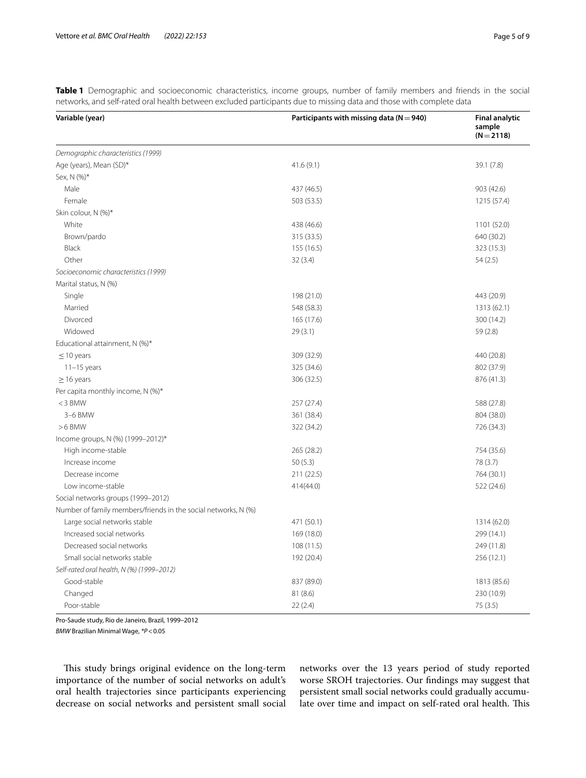| Variable (year)                                                | Participants with missing data ( $N = 940$ ) |             |
|----------------------------------------------------------------|----------------------------------------------|-------------|
| Demographic characteristics (1999)                             |                                              |             |
| Age (years), Mean (SD)*                                        | 41.6(9.1)                                    | 39.1 (7.8)  |
| Sex, N (%)*                                                    |                                              |             |
| Male                                                           | 437 (46.5)                                   | 903 (42.6)  |
| Female                                                         | 503 (53.5)                                   | 1215 (57.4) |
| Skin colour, N (%)*                                            |                                              |             |
| White                                                          | 438 (46.6)                                   | 1101 (52.0) |
| Brown/pardo                                                    | 315 (33.5)                                   | 640 (30.2)  |
| Black                                                          | 155 (16.5)                                   | 323 (15.3)  |
| Other                                                          | 32(3.4)                                      | 54(2.5)     |
| Socioeconomic characteristics (1999)                           |                                              |             |
| Marital status, N (%)                                          |                                              |             |
| Single                                                         | 198 (21.0)                                   | 443 (20.9)  |
| Married                                                        | 548 (58.3)                                   | 1313 (62.1) |
| Divorced                                                       | 165 (17.6)                                   | 300 (14.2)  |
| Widowed                                                        | 29(3.1)                                      | 59(2.8)     |
| Educational attainment, N (%)*                                 |                                              |             |
| $\leq$ 10 years                                                | 309 (32.9)                                   | 440 (20.8)  |
| $11-15$ years                                                  | 325 (34.6)                                   | 802 (37.9)  |
| $\geq$ 16 years                                                | 306 (32.5)                                   | 876 (41.3)  |
| Per capita monthly income, N (%)*                              |                                              |             |
| $<$ 3 BMW                                                      | 257 (27.4)                                   | 588 (27.8)  |
| 3-6 BMW                                                        | 361 (38.4)                                   | 804 (38.0)  |
| $>6$ BMW                                                       | 322 (34.2)                                   | 726 (34.3)  |
| Income groups, N (%) (1999-2012)*                              |                                              |             |
| High income-stable                                             | 265 (28.2)                                   | 754 (35.6)  |
| Increase income                                                | 50(5.3)                                      | 78 (3.7)    |
| Decrease income                                                | 211 (22.5)                                   | 764 (30.1)  |
| Low income-stable                                              | 414(44.0)                                    | 522 (24.6)  |
| Social networks groups (1999-2012)                             |                                              |             |
| Number of family members/friends in the social networks, N (%) |                                              |             |
| Large social networks stable                                   | 471 (50.1)                                   | 1314 (62.0) |
| Increased social networks                                      | 169 (18.0)                                   | 299 (14.1)  |
| Decreased social networks                                      | 108(11.5)                                    | 249 (11.8)  |
| Small social networks stable                                   | 192 (20.4)                                   | 256 (12.1)  |
| Self-rated oral health, N (%) (1999-2012)                      |                                              |             |
| Good-stable                                                    | 837 (89.0)                                   | 1813 (85.6) |
| Changed                                                        | 81 (8.6)                                     | 230 (10.9)  |
| Poor-stable                                                    | 22(2.4)                                      | 75(3.5)     |

<span id="page-4-0"></span>**Table 1** Demographic and socioeconomic characteristics, income groups, number of family members and friends in the social networks, and self-rated oral health between excluded participants due to missing data and those with complete data

Pro-Saude study, Rio de Janeiro, Brazil, 1999–2012

*BMW* Brazilian Minimal Wage, *\*P*<0.05

This study brings original evidence on the long-term importance of the number of social networks on adult's oral health trajectories since participants experiencing decrease on social networks and persistent small social

networks over the 13 years period of study reported worse SROH trajectories. Our fndings may suggest that persistent small social networks could gradually accumulate over time and impact on self-rated oral health. This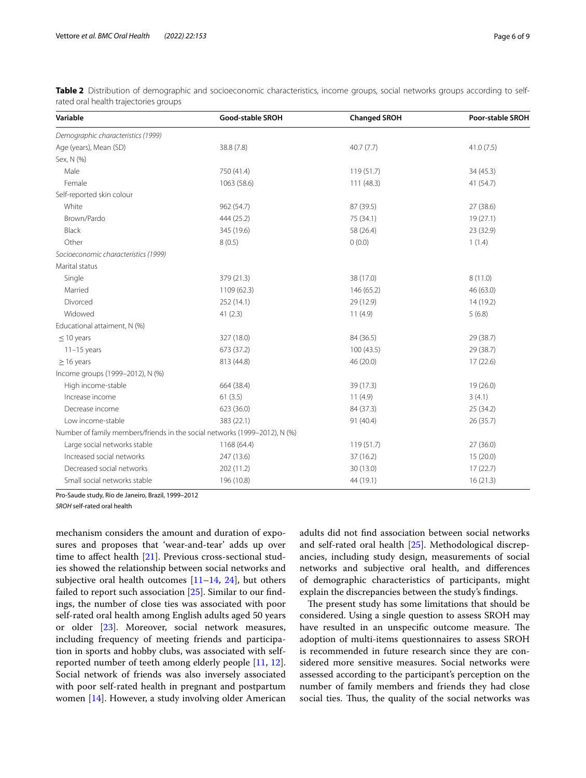| Variable                                                                   | <b>Good-stable SROH</b> |            | <b>Poor-stable SROH</b> |
|----------------------------------------------------------------------------|-------------------------|------------|-------------------------|
| Demographic characteristics (1999)                                         |                         |            |                         |
| Age (years), Mean (SD)                                                     | 38.8 (7.8)              | 40.7(7.7)  | 41.0(7.5)               |
| Sex, N (%)                                                                 |                         |            |                         |
| Male                                                                       | 750 (41.4)              | 119(51.7)  | 34 (45.3)               |
| Female                                                                     | 1063 (58.6)             | 111 (48.3) | 41 (54.7)               |
| Self-reported skin colour                                                  |                         |            |                         |
| White                                                                      | 962 (54.7)              | 87 (39.5)  | 27(38.6)                |
| Brown/Pardo                                                                | 444 (25.2)              | 75 (34.1)  | 19(27.1)                |
| Black                                                                      | 345 (19.6)              | 58 (26.4)  | 23 (32.9)               |
| Other                                                                      | 8(0.5)                  | 0(0.0)     | 1(1.4)                  |
| Socioeconomic characteristics (1999)                                       |                         |            |                         |
| Marital status                                                             |                         |            |                         |
| Single                                                                     | 379 (21.3)              | 38 (17.0)  | 8(11.0)                 |
| Married                                                                    | 1109 (62.3)             | 146 (65.2) | 46 (63.0)               |
| Divorced                                                                   | 252 (14.1)              | 29 (12.9)  | 14 (19.2)               |
| Widowed                                                                    | 41(2.3)                 | 11(4.9)    | 5(6.8)                  |
| Educational attaiment, N (%)                                               |                         |            |                         |
| $\leq$ 10 years                                                            | 327 (18.0)              | 84 (36.5)  | 29 (38.7)               |
| $11-15$ years                                                              | 673 (37.2)              | 100(43.5)  | 29 (38.7)               |
| $\geq$ 16 years                                                            | 813 (44.8)              | 46 (20.0)  | 17(22.6)                |
| Income groups (1999-2012), N (%)                                           |                         |            |                         |
| High income-stable                                                         | 664 (38.4)              | 39 (17.3)  | 19(26.0)                |
| Increase income                                                            | 61(3.5)                 | 11(4.9)    | 3(4.1)                  |
| Decrease income                                                            | 623 (36.0)              | 84 (37.3)  | 25 (34.2)               |
| Low income-stable                                                          | 383 (22.1)              | 91 (40.4)  | 26(35.7)                |
| Number of family members/friends in the social networks (1999-2012), N (%) |                         |            |                         |
| Large social networks stable                                               | 1168 (64.4)             | 119(51.7)  | 27(36.0)                |
| Increased social networks                                                  | 247 (13.6)              | 37 (16.2)  | 15(20.0)                |
| Decreased social networks                                                  | 202 (11.2)              | 30 (13.0)  | 17(22.7)                |
| Small social networks stable                                               | 196 (10.8)              | 44 (19.1)  | 16(21.3)                |

<span id="page-5-0"></span>**Table 2** Distribution of demographic and socioeconomic characteristics, income groups, social networks groups according to selfrated oral health trajectories groups

Pro-Saude study, Rio de Janeiro, Brazil, 1999–2012

*SROH* self-rated oral health

mechanism considers the amount and duration of exposures and proposes that 'wear-and-tear' adds up over time to affect health [[21\]](#page-8-13). Previous cross-sectional studies showed the relationship between social networks and subjective oral health outcomes  $[11–14, 24]$  $[11–14, 24]$  $[11–14, 24]$  $[11–14, 24]$  $[11–14, 24]$  $[11–14, 24]$ , but others failed to report such association [[25](#page-8-17)]. Similar to our fndings, the number of close ties was associated with poor self-rated oral health among English adults aged 50 years or older [\[23\]](#page-8-15). Moreover, social network measures, including frequency of meeting friends and participation in sports and hobby clubs, was associated with selfreported number of teeth among elderly people [\[11](#page-8-3), [12](#page-8-7)]. Social network of friends was also inversely associated with poor self-rated health in pregnant and postpartum women [\[14\]](#page-8-4). However, a study involving older American adults did not fnd association between social networks and self-rated oral health [[25\]](#page-8-17). Methodological discrepancies, including study design, measurements of social networks and subjective oral health, and diferences of demographic characteristics of participants, might explain the discrepancies between the study's fndings.

The present study has some limitations that should be considered. Using a single question to assess SROH may have resulted in an unspecific outcome measure. The adoption of multi-items questionnaires to assess SROH is recommended in future research since they are considered more sensitive measures. Social networks were assessed according to the participant's perception on the number of family members and friends they had close social ties. Thus, the quality of the social networks was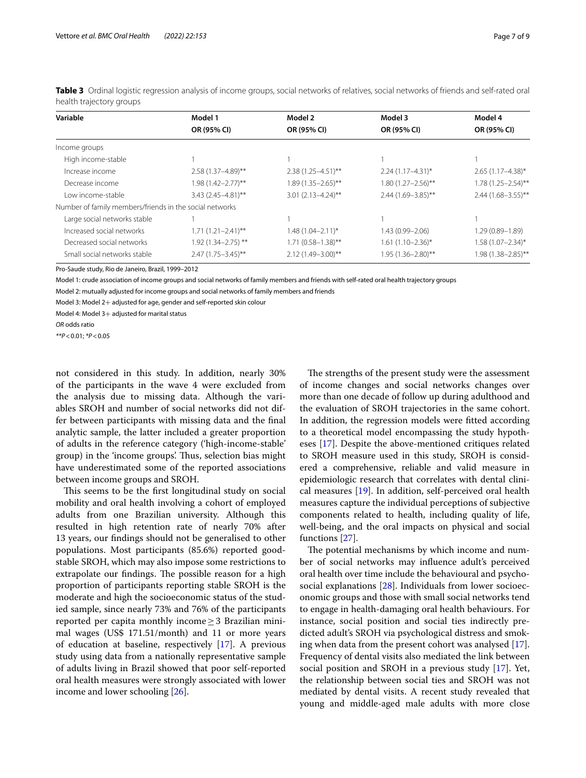| Variable                                                | Model 1<br>OR (95% CI) | Model 2<br>OR (95% CI)  | Model 3<br>OR (95% CI)  | Model 4<br>OR (95% CI)  |
|---------------------------------------------------------|------------------------|-------------------------|-------------------------|-------------------------|
|                                                         |                        |                         |                         |                         |
| High income-stable                                      |                        |                         |                         |                         |
| Increase income                                         | $2.58(1.37 - 4.89)$ ** | $2.38(1.25 - 4.51)$ **  | $2.24(1.17 - 4.31)^{*}$ | $2.65(1.17 - 4.38)^*$   |
| Decrease income                                         | $1.98(1.42 - 2.77)$ ** | $1.89(1.35 - 2.65)$ **  | $1.80(1.27 - 2.56)$ **  | $1.78(1.25 - 2.54)$ **  |
| Low income-stable                                       | $3.43(2.45 - 4.81)$ ** | $3.01(2.13 - 4.24)$ **  | 2.44 (1.69-3.85)**      | $2.44(1.68 - 3.55)$ **  |
| Number of family members/friends in the social networks |                        |                         |                         |                         |
| Large social networks stable                            |                        |                         |                         |                         |
| Increased social networks                               | $1.71(1.21 - 2.41)$ ** | $1.48(1.04 - 2.11)^{*}$ | 1.43 (0.99-2.06)        | $1.29(0.89 - 1.89)$     |
| Decreased social networks                               | $1.92(1.34 - 2.75)$ ** | $1.71(0.58 - 1.38)$ **  | $1.61(1.10-2.36)$ *     | $1.58(1.07 - 2.34)^{*}$ |
| Small social networks stable                            | $2.47(1.75 - 3.45)$ ** | 2.12 (1.49-3.00)**      | 1.95 (1.36-2.80)**      | 1.98 (1.38-2.85)**      |

<span id="page-6-0"></span>**Table 3** Ordinal logistic regression analysis of income groups, social networks of relatives, social networks of friends and self-rated oral health trajectory groups

Pro-Saude study, Rio de Janeiro, Brazil, 1999–2012

Model 1: crude association of income groups and social networks of family members and friends with self-rated oral health trajectory groups

Model 2: mutually adjusted for income groups and social networks of family members and friends

Model 3: Model 2+ adjusted for age, gender and self-reported skin colour

Model 4: Model 3+ adjusted for marital status

*OR* odds ratio

*\*\*P*<0.01; *\*P*<0.05

not considered in this study. In addition, nearly 30% of the participants in the wave 4 were excluded from the analysis due to missing data. Although the variables SROH and number of social networks did not differ between participants with missing data and the fnal analytic sample, the latter included a greater proportion of adults in the reference category ('high-income-stable' group) in the 'income groups'. Thus, selection bias might have underestimated some of the reported associations between income groups and SROH.

This seems to be the first longitudinal study on social mobility and oral health involving a cohort of employed adults from one Brazilian university. Although this resulted in high retention rate of nearly 70% after 13 years, our fndings should not be generalised to other populations. Most participants (85.6%) reported goodstable SROH, which may also impose some restrictions to extrapolate our findings. The possible reason for a high proportion of participants reporting stable SROH is the moderate and high the socioeconomic status of the studied sample, since nearly 73% and 76% of the participants reported per capita monthly income  $\geq$  3 Brazilian minimal wages (US\$ 171.51/month) and 11 or more years of education at baseline, respectively [[17](#page-8-9)]. A previous study using data from a nationally representative sample of adults living in Brazil showed that poor self-reported oral health measures were strongly associated with lower income and lower schooling [[26\]](#page-8-18).

The strengths of the present study were the assessment of income changes and social networks changes over more than one decade of follow up during adulthood and the evaluation of SROH trajectories in the same cohort. In addition, the regression models were ftted according to a theoretical model encompassing the study hypotheses [[17\]](#page-8-9). Despite the above-mentioned critiques related to SROH measure used in this study, SROH is considered a comprehensive, reliable and valid measure in epidemiologic research that correlates with dental clinical measures [\[19](#page-8-11)]. In addition, self-perceived oral health measures capture the individual perceptions of subjective components related to health, including quality of life, well-being, and the oral impacts on physical and social functions [[27\]](#page-8-19).

The potential mechanisms by which income and number of social networks may infuence adult's perceived oral health over time include the behavioural and psychosocial explanations [[28\]](#page-8-20). Individuals from lower socioeconomic groups and those with small social networks tend to engage in health-damaging oral health behaviours. For instance, social position and social ties indirectly predicted adult's SROH via psychological distress and smoking when data from the present cohort was analysed [\[17](#page-8-9)]. Frequency of dental visits also mediated the link between social position and SROH in a previous study [\[17](#page-8-9)]. Yet, the relationship between social ties and SROH was not mediated by dental visits. A recent study revealed that young and middle-aged male adults with more close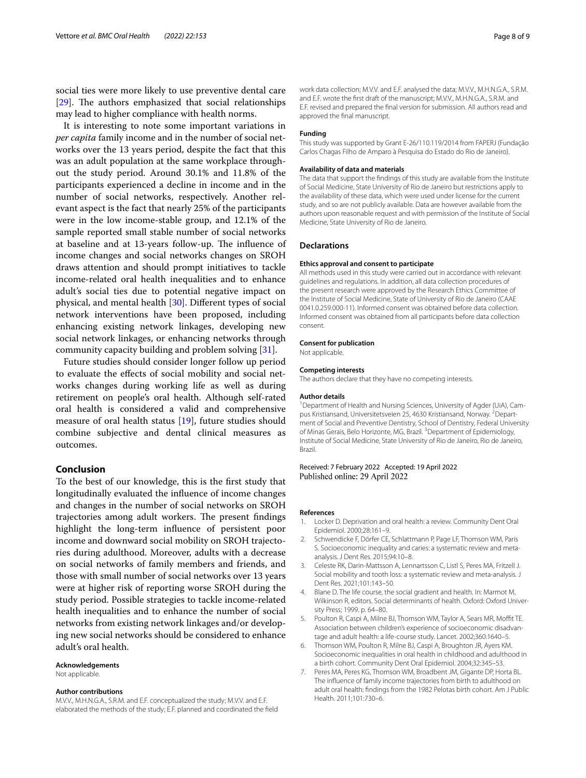social ties were more likely to use preventive dental care  $[29]$  $[29]$ . The authors emphasized that social relationships may lead to higher compliance with health norms.

It is interesting to note some important variations in *per capita* family income and in the number of social networks over the 13 years period, despite the fact that this was an adult population at the same workplace throughout the study period. Around 30.1% and 11.8% of the participants experienced a decline in income and in the number of social networks, respectively. Another relevant aspect is the fact that nearly 25% of the participants were in the low income-stable group, and 12.1% of the sample reported small stable number of social networks at baseline and at 13-years follow-up. The influence of income changes and social networks changes on SROH draws attention and should prompt initiatives to tackle income-related oral health inequalities and to enhance adult's social ties due to potential negative impact on physical, and mental health [[30\]](#page-8-22). Diferent types of social network interventions have been proposed, including enhancing existing network linkages, developing new social network linkages, or enhancing networks through community capacity building and problem solving [[31\]](#page-8-23).

Future studies should consider longer follow up period to evaluate the efects of social mobility and social networks changes during working life as well as during retirement on people's oral health. Although self-rated oral health is considered a valid and comprehensive measure of oral health status [\[19](#page-8-11)], future studies should combine subjective and dental clinical measures as outcomes.

# **Conclusion**

To the best of our knowledge, this is the frst study that longitudinally evaluated the infuence of income changes and changes in the number of social networks on SROH trajectories among adult workers. The present findings highlight the long-term infuence of persistent poor income and downward social mobility on SROH trajectories during adulthood. Moreover, adults with a decrease on social networks of family members and friends, and those with small number of social networks over 13 years were at higher risk of reporting worse SROH during the study period. Possible strategies to tackle income-related health inequalities and to enhance the number of social networks from existing network linkages and/or developing new social networks should be considered to enhance adult's oral health.

#### **Acknowledgements**

Not applicable.

### **Author contributions**

M.V.V., M.H.N.G.A., S.R.M. and E.F. conceptualized the study; M.V.V. and E.F. elaborated the methods of the study; E.F. planned and coordinated the feld work data collection; M.V.V. and E.F. analysed the data; M.V.V., M.H.N.G.A., S.R.M. and E.F. wrote the frst draft of the manuscript; M.V.V., M.H.N.G.A., S.R.M. and E.F. revised and prepared the fnal version for submission. All authors read and approved the fnal manuscript.

#### **Funding**

This study was supported by Grant E-26/110.119/2014 from FAPERJ (Fundação Carlos Chagas Filho de Amparo à Pesquisa do Estado do Rio de Janeiro).

# **Availability of data and materials**

The data that support the fndings of this study are available from the Institute of Social Medicine, State University of Rio de Janeiro but restrictions apply to the availability of these data, which were used under license for the current study, and so are not publicly available. Data are however available from the authors upon reasonable request and with permission of the Institute of Social Medicine, State University of Rio de Janeiro.

#### **Declarations**

# **Ethics approval and consent to participate**

All methods used in this study were carried out in accordance with relevant guidelines and regulations. In addition, all data collection procedures of the present research were approved by the Research Ethics Committee of the Institute of Social Medicine, State of University of Rio de Janeiro (CAAE 0041.0.259.000-11). Informed consent was obtained before data collection. Informed consent was obtained from all participants before data collection consent.

#### **Consent for publication**

Not applicable.

# **Competing interests**

The authors declare that they have no competing interests.

#### **Author details**

<sup>1</sup> Department of Health and Nursing Sciences, University of Agder (UiA), Campus Kristiansand, Universitetsveien 25, 4630 Kristiansand, Norway. <sup>2</sup>Department of Social and Preventive Dentistry, School of Dentistry, Federal University of Minas Gerais, Belo Horizonte, MG, Brazil.<sup>3</sup> Department of Epidemiology, Institute of Social Medicine, State University of Rio de Janeiro, Rio de Janeiro, Brazil.

# Received: 7 February 2022 Accepted: 19 April 2022 Published online: 29 April 2022

#### **References**

- <span id="page-7-0"></span>1. Locker D. Deprivation and oral health: a review. Community Dent Oral Epidemiol. 2000;28:161–9.
- <span id="page-7-1"></span>2. Schwendicke F, Dörfer CE, Schlattmann P, Page LF, Thomson WM, Paris S. Socioeconomic inequality and caries: a systematic review and metaanalysis. J Dent Res. 2015;94:10–8.
- <span id="page-7-2"></span>3. Celeste RK, Darin-Mattsson A, Lennartsson C, Listl S, Peres MA, Fritzell J. Social mobility and tooth loss: a systematic review and meta-analysis. J Dent Res. 2021;101:143–50.
- <span id="page-7-3"></span>4. Blane D. The life course, the social gradient and health. In: Marmot M, Wilkinson R, editors. Social determinants of health. Oxford: Oxford University Press; 1999. p. 64–80.
- <span id="page-7-4"></span>5. Poulton R, Caspi A, Milne BJ, Thomson WM, Taylor A, Sears MR, Moft TE. Association between children's experience of socioeconomic disadvantage and adult health: a life-course study. Lancet. 2002;360:1640–5.
- <span id="page-7-5"></span>6. Thomson WM, Poulton R, Milne BJ, Caspi A, Broughton JR, Ayers KM. Socioeconomic inequalities in oral health in childhood and adulthood in a birth cohort. Community Dent Oral Epidemiol. 2004;32:345–53.
- <span id="page-7-6"></span>7. Peres MA, Peres KG, Thomson WM, Broadbent JM, Gigante DP, Horta BL. The infuence of family income trajectories from birth to adulthood on adult oral health: fndings from the 1982 Pelotas birth cohort. Am J Public Health. 2011;101:730–6.